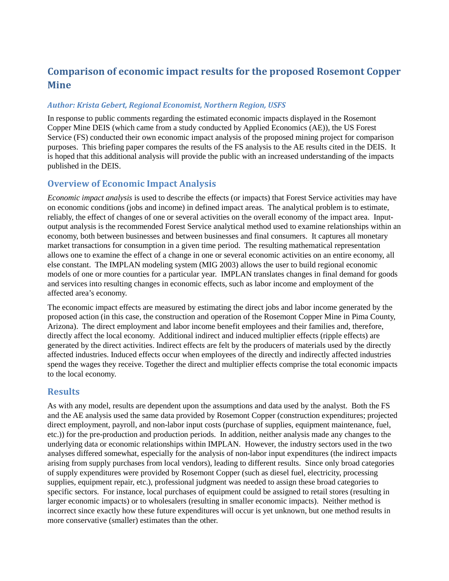# **Comparison of economic impact results for the proposed Rosemont Copper Mine**

#### *Author: Krista Gebert, Regional Economist, Northern Region, USFS*

In response to public comments regarding the estimated economic impacts displayed in the Rosemont Copper Mine DEIS (which came from a study conducted by Applied Economics (AE)), the US Forest Service (FS) conducted their own economic impact analysis of the proposed mining project for comparison purposes. This briefing paper compares the results of the FS analysis to the AE results cited in the DEIS. It is hoped that this additional analysis will provide the public with an increased understanding of the impacts published in the DEIS.

## **Overview of Economic Impact Analysis**

*Economic impact analysis* is used to describe the effects (or impacts) that Forest Service activities may have on economic conditions (jobs and income) in defined impact areas. The analytical problem is to estimate, reliably, the effect of changes of one or several activities on the overall economy of the impact area. Inputoutput analysis is the recommended Forest Service analytical method used to examine relationships within an economy, both between businesses and between businesses and final consumers. It captures all monetary market transactions for consumption in a given time period. The resulting mathematical representation allows one to examine the effect of a change in one or several economic activities on an entire economy, all else constant. The IMPLAN modeling system (MIG 2003) allows the user to build regional economic models of one or more counties for a particular year. IMPLAN translates changes in final demand for goods and services into resulting changes in economic effects, such as labor income and employment of the affected area's economy.

The economic impact effects are measured by estimating the direct jobs and labor income generated by the proposed action (in this case, the construction and operation of the Rosemont Copper Mine in Pima County, Arizona). The direct employment and labor income benefit employees and their families and, therefore, directly affect the local economy. Additional indirect and induced multiplier effects (ripple effects) are generated by the direct activities. Indirect effects are felt by the producers of materials used by the directly affected industries. Induced effects occur when employees of the directly and indirectly affected industries spend the wages they receive. Together the direct and multiplier effects comprise the total economic impacts to the local economy.

### **Results**

As with any model, results are dependent upon the assumptions and data used by the analyst. Both the FS and the AE analysis used the same data provided by Rosemont Copper (construction expenditures; projected direct employment, payroll, and non-labor input costs (purchase of supplies, equipment maintenance, fuel, etc.)) for the pre-production and production periods. In addition, neither analysis made any changes to the underlying data or economic relationships within IMPLAN. However, the industry sectors used in the two analyses differed somewhat, especially for the analysis of non-labor input expenditures (the indirect impacts arising from supply purchases from local vendors), leading to different results. Since only broad categories of supply expenditures were provided by Rosemont Copper (such as diesel fuel, electricity, processing supplies, equipment repair, etc.), professional judgment was needed to assign these broad categories to specific sectors. For instance, local purchases of equipment could be assigned to retail stores (resulting in larger economic impacts) or to wholesalers (resulting in smaller economic impacts). Neither method is incorrect since exactly how these future expenditures will occur is yet unknown, but one method results in more conservative (smaller) estimates than the other.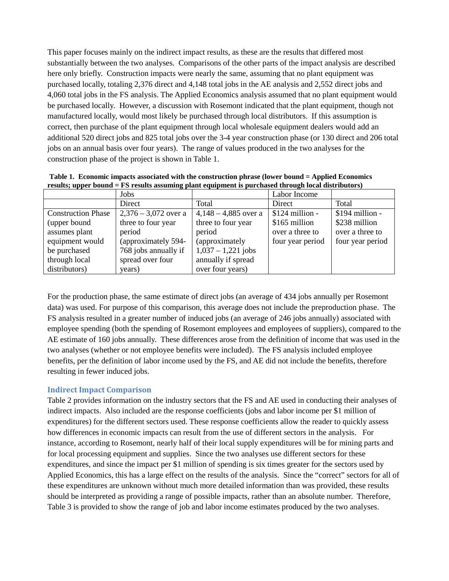This paper focuses mainly on the indirect impact results, as these are the results that differed most substantially between the two analyses. Comparisons of the other parts of the impact analysis are described here only briefly. Construction impacts were nearly the same, assuming that no plant equipment was purchased locally, totaling 2,376 direct and 4,148 total jobs in the AE analysis and 2,552 direct jobs and 4,060 total jobs in the FS analysis. The Applied Economics analysis assumed that no plant equipment would be purchased locally. However, a discussion with Rosemont indicated that the plant equipment, though not manufactured locally, would most likely be purchased through local distributors. If this assumption is correct, then purchase of the plant equipment through local wholesale equipment dealers would add an additional 520 direct jobs and 825 total jobs over the 3-4 year construction phase (or 130 direct and 206 total jobs on an annual basis over four years). The range of values produced in the two analyses for the construction phase of the project is shown in Table 1.

**Table 1. Economic impacts associated with the construction phrase (lower bound = Applied Economics results; upper bound = FS results assuming plant equipment is purchased through local distributors)**

|                           | Jobs                   |                        | Labor Income     |                  |
|---------------------------|------------------------|------------------------|------------------|------------------|
|                           | Direct                 | Total                  | Direct           | Total            |
| <b>Construction Phase</b> | $2,376 - 3,072$ over a | $4,148 - 4,885$ over a | $$124$ million - | $$194$ million - |
| (upper bound)             | three to four year     | three to four year     | \$165 million    | \$238 million    |
| assumes plant             | period                 | period                 | over a three to  | over a three to  |
| equipment would           | (approximately 594-    | (approximately         | four year period | four year period |
| be purchased              | 768 jobs annually if   | $1,037 - 1,221$ jobs   |                  |                  |
| through local             | spread over four       | annually if spread     |                  |                  |
| distributors)             | years)                 | over four years)       |                  |                  |

For the production phase, the same estimate of direct jobs (an average of 434 jobs annually per Rosemont data) was used. For purpose of this comparison, this average does not include the preproduction phase. The FS analysis resulted in a greater number of induced jobs (an average of 246 jobs annually) associated with employee spending (both the spending of Rosemont employees and employees of suppliers), compared to the AE estimate of 160 jobs annually. These differences arose from the definition of income that was used in the two analyses (whether or not employee benefits were included). The FS analysis included employee benefits, per the definition of labor income used by the FS, and AE did not include the benefits, therefore resulting in fewer induced jobs.

#### **Indirect Impact Comparison**

Table 2 provides information on the industry sectors that the FS and AE used in conducting their analyses of indirect impacts. Also included are the response coefficients (jobs and labor income per \$1 million of expenditures) for the different sectors used. These response coefficients allow the reader to quickly assess how differences in economic impacts can result from the use of different sectors in the analysis. For instance, according to Rosemont, nearly half of their local supply expenditures will be for mining parts and for local processing equipment and supplies. Since the two analyses use different sectors for these expenditures, and since the impact per \$1 million of spending is six times greater for the sectors used by Applied Economics, this has a large effect on the results of the analysis. Since the "correct" sectors for all of these expenditures are unknown without much more detailed information than was provided, these results should be interpreted as providing a range of possible impacts, rather than an absolute number. Therefore, Table 3 is provided to show the range of job and labor income estimates produced by the two analyses.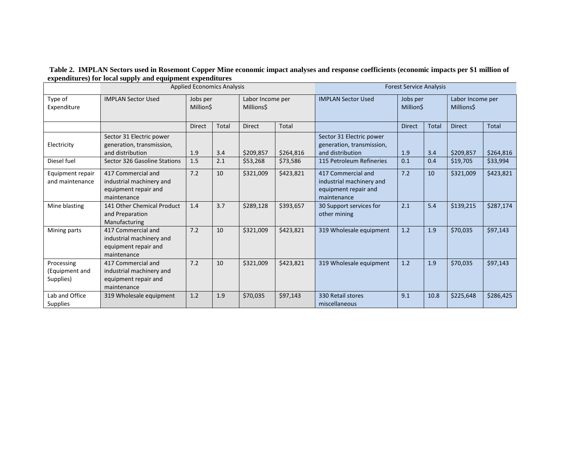#### **Table 2. IMPLAN Sectors used in Rosemont Copper Mine economic impact analyses and response coefficients (economic impacts per \$1 million of expenditures) for local supply and equipment expenditures**

|                                           | <b>Applied Economics Analysis</b>                                                     |                             |       | <b>Forest Service Analysis</b> |           |                                                                                       |                             |       |                                |              |
|-------------------------------------------|---------------------------------------------------------------------------------------|-----------------------------|-------|--------------------------------|-----------|---------------------------------------------------------------------------------------|-----------------------------|-------|--------------------------------|--------------|
| Type of<br>Expenditure                    | <b>IMPLAN Sector Used</b>                                                             | Jobs per<br><b>MillionS</b> |       | Labor Income per<br>Millions\$ |           | <b>IMPLAN Sector Used</b>                                                             | Jobs per<br><b>MillionS</b> |       | Labor Income per<br>Millions\$ |              |
|                                           |                                                                                       | <b>Direct</b>               | Total | <b>Direct</b>                  | Total     |                                                                                       | <b>Direct</b>               | Total | <b>Direct</b>                  | <b>Total</b> |
| Electricity                               | Sector 31 Electric power<br>generation, transmission,<br>and distribution             | 1.9                         | 3.4   | \$209,857                      | \$264,816 | Sector 31 Electric power<br>generation, transmission,<br>and distribution             | 1.9                         | 3.4   | \$209,857                      | \$264,816    |
| Diesel fuel                               | Sector 326 Gasoline Stations                                                          | 1.5                         | 2.1   | \$53,268                       | \$73,586  | 115 Petroleum Refineries                                                              | 0.1                         | 0.4   | \$19,705                       | \$33,994     |
| Equipment repair<br>and maintenance       | 417 Commercial and<br>industrial machinery and<br>equipment repair and<br>maintenance | 7.2                         | 10    | \$321,009                      | \$423,821 | 417 Commercial and<br>industrial machinery and<br>equipment repair and<br>maintenance | 7.2                         | 10    | \$321,009                      | \$423,821    |
| Mine blasting                             | 141 Other Chemical Product<br>and Preparation<br>Manufacturing                        | 1.4                         | 3.7   | \$289,128                      | \$393,657 | 30 Support services for<br>other mining                                               | 2.1                         | 5.4   | \$139,215                      | \$287,174    |
| Mining parts                              | 417 Commercial and<br>industrial machinery and<br>equipment repair and<br>maintenance | 7.2                         | 10    | \$321,009                      | \$423,821 | 319 Wholesale equipment                                                               | 1.2                         | 1.9   | \$70,035                       | \$97,143     |
| Processing<br>(Equipment and<br>Supplies) | 417 Commercial and<br>industrial machinery and<br>equipment repair and<br>maintenance | 7.2                         | 10    | \$321,009                      | \$423,821 | 319 Wholesale equipment                                                               | 1.2                         | 1.9   | \$70,035                       | \$97,143     |
| Lab and Office<br><b>Supplies</b>         | 319 Wholesale equipment                                                               | 1.2                         | 1.9   | \$70,035                       | \$97,143  | 330 Retail stores<br>miscellaneous                                                    | 9.1                         | 10.8  | \$225,648                      | \$286,425    |